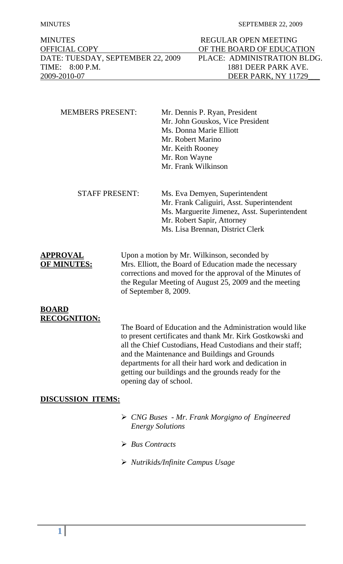#### MINUTES SEPTEMBER 22, 2009

| <b>MINUTES</b>                    | REGULAR OPEN MEETING        |
|-----------------------------------|-----------------------------|
| <b>OFFICIAL COPY</b>              | OF THE BOARD OF EDUCATION   |
| DATE: TUESDAY, SEPTEMBER 22, 2009 | PLACE: ADMINISTRATION BLDG. |
| TIME: 8:00 P.M.                   | 1881 DEER PARK AVE.         |
| 2009-2010-07                      | DEER PARK, NY 11729         |

| <b>MEMBERS PRESENT:</b> | Mr. Dennis P. Ryan, President    |
|-------------------------|----------------------------------|
|                         | Mr. John Gouskos, Vice President |
|                         | Ms. Donna Marie Elliott          |
|                         | Mr. Robert Marino                |
|                         | Mr. Keith Rooney                 |
|                         | Mr. Ron Wayne                    |
|                         | Mr. Frank Wilkinson              |
|                         |                                  |
|                         |                                  |
| <b>STAFF PRESENT:</b>   | Ms. Eva Demyen, Superintendent   |

 Mr. Frank Caliguiri, Asst. Superintendent Ms. Marguerite Jimenez, Asst. Superintendent Mr. Robert Sapir, Attorney Ms. Lisa Brennan, District Clerk

**APPROVAL** Upon a motion by Mr. Wilkinson, seconded by **OF MINUTES:** Mrs. Elliott, the Board of Education made the necessary corrections and moved for the approval of the Minutes of the Regular Meeting of August 25, 2009 and the meeting of September 8, 2009.

## **BOARD RECOGNITION:**

The Board of Education and the Administration would like to present certificates and thank Mr. Kirk Gostkowski and all the Chief Custodians, Head Custodians and their staff; and the Maintenance and Buildings and Grounds departments for all their hard work and dedication in getting our buildings and the grounds ready for the opening day of school.

# **DISCUSSION ITEMS:**

- ¾ *CNG Buses Mr. Frank Morgigno of Engineered Energy Solutions*
- ¾ *Bus Contracts*
- ¾ *Nutrikids/Infinite Campus Usage*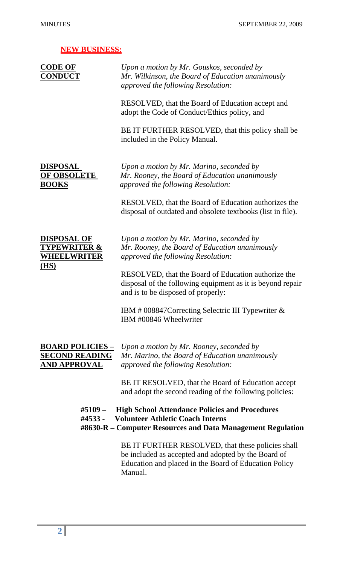| <b>NEW BUSINESS:</b>                                                        |                                                                                                                                                                              |
|-----------------------------------------------------------------------------|------------------------------------------------------------------------------------------------------------------------------------------------------------------------------|
| <b>CODE OF</b><br><u>CONDUCT</u>                                            | Upon a motion by Mr. Gouskos, seconded by<br>Mr. Wilkinson, the Board of Education unanimously<br>approved the following Resolution:                                         |
|                                                                             | RESOLVED, that the Board of Education accept and<br>adopt the Code of Conduct/Ethics policy, and                                                                             |
|                                                                             | BE IT FURTHER RESOLVED, that this policy shall be<br>included in the Policy Manual.                                                                                          |
| <b>DISPOSAL</b><br><u>OF OBSOLETE</u><br><b>BOOKS</b>                       | Upon a motion by Mr. Marino, seconded by<br>Mr. Rooney, the Board of Education unanimously<br>approved the following Resolution:                                             |
|                                                                             | RESOLVED, that the Board of Education authorizes the<br>disposal of outdated and obsolete textbooks (list in file).                                                          |
| <b>DISPOSAL OF</b><br><b>TYPEWRITER &amp;</b><br><b>WHEELWRITER</b><br>(HS) | Upon a motion by Mr. Marino, seconded by<br>Mr. Rooney, the Board of Education unanimously<br>approved the following Resolution:                                             |
|                                                                             | RESOLVED, that the Board of Education authorize the<br>disposal of the following equipment as it is beyond repair<br>and is to be disposed of properly:                      |
|                                                                             | IBM # 008847 Correcting Selectric III Typewriter &<br>IBM #00846 Wheelwriter                                                                                                 |
| <b>BOARD POLICIES -</b><br><b>SECOND READING</b><br><u>AND APPROVAL</u>     | Upon a motion by Mr. Rooney, seconded by<br>Mr. Marino, the Board of Education unanimously<br>approved the following Resolution:                                             |
|                                                                             | BE IT RESOLVED, that the Board of Education accept<br>and adopt the second reading of the following policies:                                                                |
| #4533 -                                                                     | #5109 – High School Attendance Policies and Procedures<br><b>Volunteer Athletic Coach Interns</b><br>#8630-R – Computer Resources and Data Management Regulation             |
|                                                                             | BE IT FURTHER RESOLVED, that these policies shall<br>be included as accepted and adopted by the Board of<br>Education and placed in the Board of Education Policy<br>Manual. |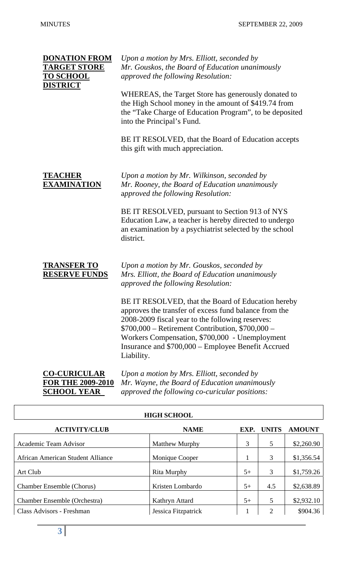| <b>DONATION FROM</b><br><b>TARGET STORE</b><br><b>TO SCHOOL</b><br><b>DISTRICT</b> | Upon a motion by Mrs. Elliott, seconded by<br>Mr. Gouskos, the Board of Education unanimously<br>approved the following Resolution:<br>WHEREAS, the Target Store has generously donated to<br>the High School money in the amount of \$419.74 from<br>the "Take Charge of Education Program", to be deposited<br>into the Principal's Fund.<br>BE IT RESOLVED, that the Board of Education accepts<br>this gift with much appreciation.                                             |
|------------------------------------------------------------------------------------|-------------------------------------------------------------------------------------------------------------------------------------------------------------------------------------------------------------------------------------------------------------------------------------------------------------------------------------------------------------------------------------------------------------------------------------------------------------------------------------|
| <b>TEACHER</b><br><b>EXAMINATION</b>                                               | Upon a motion by Mr. Wilkinson, seconded by<br>Mr. Rooney, the Board of Education unanimously<br>approved the following Resolution:<br>BE IT RESOLVED, pursuant to Section 913 of NYS<br>Education Law, a teacher is hereby directed to undergo<br>an examination by a psychiatrist selected by the school<br>district.                                                                                                                                                             |
| <b>TRANSFER TO</b><br><b>RESERVE FUNDS</b>                                         | Upon a motion by Mr. Gouskos, seconded by<br>Mrs. Elliott, the Board of Education unanimously<br>approved the following Resolution:<br>BE IT RESOLVED, that the Board of Education hereby<br>approves the transfer of excess fund balance from the<br>2008-2009 fiscal year to the following reserves:<br>$$700,000 - Reti$ rement Contribution, $$700,000 -$<br>Workers Compensation, \$700,000 - Unemployment<br>Insurance and \$700,000 – Employee Benefit Accrued<br>Liability. |
| <b>CO-CURICULAR</b><br><b>FOR THE 2009-2010</b><br><b>SCHOOL YEAR</b>              | Upon a motion by Mrs. Elliott, seconded by<br>Mr. Wayne, the Board of Education unanimously<br>approved the following co-curicular positions:                                                                                                                                                                                                                                                                                                                                       |

| <b>HIGH SCHOOL</b>                |                     |      |              |               |
|-----------------------------------|---------------------|------|--------------|---------------|
| <b>ACTIVITY/CLUB</b>              | <b>NAME</b>         | EXP. | <b>UNITS</b> | <b>AMOUNT</b> |
| Academic Team Advisor             | Matthew Murphy      | 3    | 5            | \$2,260.90    |
| African American Student Alliance | Monique Cooper      | 1    | 3            | \$1,356.54    |
| Art Club                          | <b>Rita Murphy</b>  | $5+$ | 3            | \$1,759.26    |
| <b>Chamber Ensemble (Chorus)</b>  | Kristen Lombardo    | $5+$ | 4.5          | \$2,638.89    |
| Chamber Ensemble (Orchestra)      | Kathryn Attard      | $5+$ | 5            | \$2,932.10    |
| Class Advisors - Freshman         | Jessica Fitzpatrick |      | 2            | \$904.36      |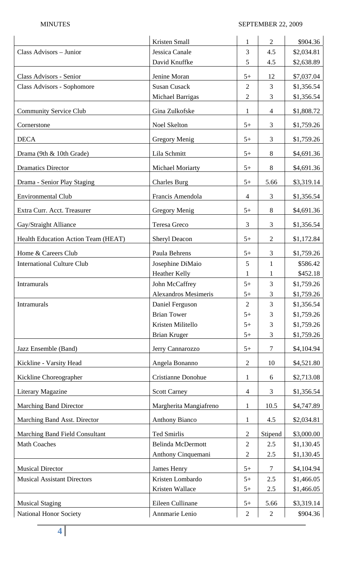|                                            | Kristen Small               | $\mathbf{1}$   | $\overline{2}$ | \$904.36   |
|--------------------------------------------|-----------------------------|----------------|----------------|------------|
| Class Advisors - Junior                    | Jessica Canale              | 3              | 4.5            | \$2,034.81 |
|                                            | David Knuffke               | 5              | 4.5            | \$2,638.89 |
| Class Advisors - Senior                    | Jenine Moran                | $5+$           | 12             | \$7,037.04 |
| Class Advisors - Sophomore                 | <b>Susan Cusack</b>         | $\overline{2}$ | 3              | \$1,356.54 |
|                                            | <b>Michael Barrigas</b>     | $\overline{2}$ | 3              | \$1,356.54 |
| <b>Community Service Club</b>              | Gina Zulkofske              | $\mathbf{1}$   | $\overline{4}$ | \$1,808.72 |
| Cornerstone                                | Noel Skelton                | $5+$           | 3              | \$1,759.26 |
| <b>DECA</b>                                | Gregory Menig               | $5+$           | 3              | \$1,759.26 |
| Drama (9th & 10th Grade)                   | Lila Schmitt                | $5+$           | 8              | \$4,691.36 |
| <b>Dramatics Director</b>                  | <b>Michael Moriarty</b>     | $5+$           | 8              | \$4,691.36 |
| Drama - Senior Play Staging                | <b>Charles Burg</b>         | $5+$           | 5.66           | \$3,319.14 |
| <b>Environmental Club</b>                  | Francis Amendola            | $\overline{4}$ | 3              | \$1,356.54 |
| Extra Curr. Acct. Treasurer                | Gregory Menig               | $5+$           | 8              | \$4,691.36 |
| Gay/Straight Alliance                      | Teresa Greco                | $\overline{3}$ | 3              | \$1,356.54 |
| <b>Health Education Action Team (HEAT)</b> | <b>Sheryl Deacon</b>        | $5+$           | $\overline{2}$ | \$1,172.84 |
| Home & Careers Club                        | Paula Behrens               | $5+$           | 3              | \$1,759.26 |
| <b>International Culture Club</b>          | Josephine DiMaio            | 5              | $\mathbf{1}$   | \$586.42   |
|                                            | <b>Heather Kelly</b>        | $\mathbf{1}$   | 1              | \$452.18   |
| <b>Intramurals</b>                         | John McCaffrey              | $5+$           | 3              | \$1,759.26 |
|                                            | <b>Alexandros Mesimeris</b> | $5+$           | 3              | \$1,759.26 |
| Intramurals                                | Daniel Ferguson             | $\overline{2}$ | 3              | \$1,356.54 |
|                                            | <b>Brian Tower</b>          | $5+$           | 3              | \$1,759.26 |
|                                            | Kristen Militello           | $5+$           | 3              | \$1,759.26 |
|                                            | <b>Brian Kruger</b>         | $5+$           | 3              | \$1,759.26 |
| Jazz Ensemble (Band)                       | Jerry Cannarozzo            | $5+$           | $\tau$         | \$4,104.94 |
| Kickline - Varsity Head                    | Angela Bonanno              | $\mathbf{2}$   | 10             | \$4,521.80 |
| Kickline Choreographer                     | Cristianne Donohue          | $\mathbf{1}$   | 6              | \$2,713.08 |
| <b>Literary Magazine</b>                   | <b>Scott Carney</b>         | $\overline{4}$ | 3              | \$1,356.54 |
| <b>Marching Band Director</b>              | Margherita Mangiafreno      | $\mathbf{1}$   | 10.5           | \$4,747.89 |
| Marching Band Asst. Director               | <b>Anthony Bianco</b>       | $\mathbf{1}$   | 4.5            | \$2,034.81 |
| <b>Marching Band Field Consultant</b>      | <b>Ted Smirlis</b>          | $\overline{2}$ | Stipend        | \$3,000.00 |
| <b>Math Coaches</b>                        | <b>Belinda McDermott</b>    | $\overline{2}$ | 2.5            | \$1,130.45 |
|                                            | Anthony Cinquemani          | $\overline{2}$ | 2.5            | \$1,130.45 |
| <b>Musical Director</b>                    | <b>James Henry</b>          | $5+$           | 7              | \$4,104.94 |
| <b>Musical Assistant Directors</b>         | Kristen Lombardo            | $5+$           | 2.5            | \$1,466.05 |
|                                            | Kristen Wallace             | $5+$           | 2.5            | \$1,466.05 |
| <b>Musical Staging</b>                     | Eileen Cullinane            | $5+$           | 5.66           | \$3,319.14 |
| National Honor Society                     | Annmarie Lenio              | $\overline{2}$ | $\overline{2}$ | \$904.36   |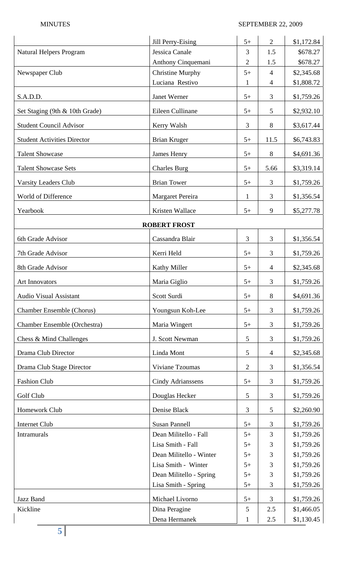|                                    | Jill Perry-Eising        | $5+$           | $\overline{2}$ | \$1,172.84 |
|------------------------------------|--------------------------|----------------|----------------|------------|
| Natural Helpers Program            | Jessica Canale           | 3              | 1.5            | \$678.27   |
|                                    | Anthony Cinquemani       | $\overline{2}$ | 1.5            | \$678.27   |
| Newspaper Club                     | <b>Christine Murphy</b>  | $5+$           | $\overline{4}$ | \$2,345.68 |
|                                    | Luciana Restivo          | $\mathbf{1}$   | 4              | \$1,808.72 |
| S.A.D.D.                           | Janet Werner             | $5+$           | 3              | \$1,759.26 |
| Set Staging (9th & 10th Grade)     | Eileen Cullinane         | $5+$           | 5              | \$2,932.10 |
| <b>Student Council Advisor</b>     | Kerry Walsh              | 3              | 8              | \$3,617.44 |
| <b>Student Activities Director</b> | Brian Kruger             | $5+$           | 11.5           | \$6,743.83 |
| <b>Talent Showcase</b>             | <b>James Henry</b>       | $5+$           | 8              | \$4,691.36 |
| <b>Talent Showcase Sets</b>        | <b>Charles Burg</b>      | $5+$           | 5.66           | \$3,319.14 |
| <b>Varsity Leaders Club</b>        | <b>Brian Tower</b>       | $5+$           | 3              | \$1,759.26 |
| World of Difference                | Margaret Pereira         | $\mathbf{1}$   | 3              | \$1,356.54 |
| Yearbook                           | Kristen Wallace          | $5+$           | 9              | \$5,277.78 |
|                                    | <b>ROBERT FROST</b>      |                |                |            |
| 6th Grade Advisor                  | Cassandra Blair          | 3              | 3              | \$1,356.54 |
| 7th Grade Advisor                  | Kerri Held               | $5+$           | 3              | \$1,759.26 |
| 8th Grade Advisor                  | Kathy Miller             | $5+$           | 4              | \$2,345.68 |
| <b>Art Innovators</b>              | Maria Giglio             | $5+$           | 3              | \$1,759.26 |
| <b>Audio Visual Assistant</b>      | Scott Surdi              | $5+$           | 8              | \$4,691.36 |
| <b>Chamber Ensemble (Chorus)</b>   | Youngsun Koh-Lee         | $5+$           | 3              | \$1,759.26 |
| Chamber Ensemble (Orchestra)       | Maria Wingert            | $5+$           | 3              | \$1,759.26 |
| Chess & Mind Challenges            | J. Scott Newman          | 5              | 3              | \$1,759.26 |
| Drama Club Director                | Linda Mont               | 5              | 4              | \$2,345.68 |
| Drama Club Stage Director          | Viviane Tzoumas          | $\overline{2}$ | 3              | \$1,356.54 |
| <b>Fashion Club</b>                | <b>Cindy Adrianssens</b> | $5+$           | 3              | \$1,759.26 |
| Golf Club                          | Douglas Hecker           | 5              | 3              | \$1,759.26 |
| Homework Club                      | Denise Black             | 3              | 5              | \$2,260.90 |
| <b>Internet Club</b>               | <b>Susan Pannell</b>     | $5+$           | 3              | \$1,759.26 |
| <b>Intramurals</b>                 | Dean Militello - Fall    | $5+$           | 3              | \$1,759.26 |
|                                    | Lisa Smith - Fall        | $5+$           | 3              | \$1,759.26 |
|                                    | Dean Militello - Winter  | $5+$           | 3              | \$1,759.26 |
|                                    | Lisa Smith - Winter      | $5+$           | 3              | \$1,759.26 |
|                                    | Dean Militello - Spring  | $5+$           | 3              | \$1,759.26 |
|                                    | Lisa Smith - Spring      | $5+$           | 3              | \$1,759.26 |
| Jazz Band                          | Michael Livorno          | $5+$           | 3              | \$1,759.26 |
| Kickline                           | Dina Peragine            | 5              | 2.5            | \$1,466.05 |
|                                    | Dena Hermanek            | 1              | 2.5            | \$1,130.45 |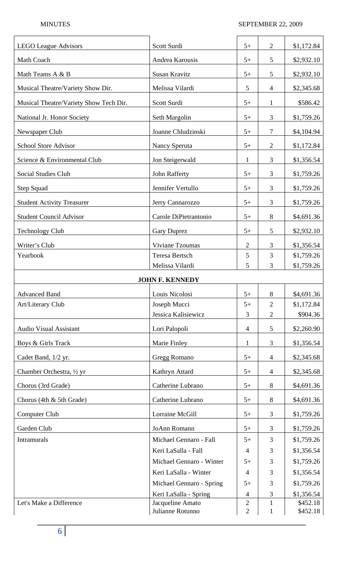| <b>LEGO League Advisors</b>            | Scott Surdi                          | $5+$                             | $\overline{2}$               | \$1,172.84           |
|----------------------------------------|--------------------------------------|----------------------------------|------------------------------|----------------------|
| Math Coach                             | Andrea Karousis                      | $5+$                             | 5                            | \$2,932.10           |
| Math Teams A & B                       | Susan Kravitz                        | $5+$                             | 5                            | \$2,932.10           |
| Musical Theatre/Variety Show Dir.      | Melissa Vilardi                      | 5                                | 4                            | \$2,345.68           |
| Musical Theatre/Variety Show Tech Dir. | Scott Surdi                          | $5+$                             | $\mathbf{1}$                 | \$586.42             |
| National Jr. Honor Society             | Seth Margolin                        | $5+$                             | 3                            | \$1,759.26           |
| Newspaper Club                         | Joanne Chludzinski                   | $5+$                             | 7                            | \$4,104.94           |
| <b>School Store Advisor</b>            | Nancy Speruta                        | $5+$                             | $\overline{2}$               | \$1,172.84           |
| Science & Environmental Club           | Jon Steigerwald                      | $\mathbf{1}$                     | 3                            | \$1,356.54           |
| <b>Social Studies Club</b>             | <b>John Rafferty</b>                 | $5+$                             | 3                            | \$1,759.26           |
| <b>Step Squad</b>                      | Jennifer Vertullo                    | $5+$                             | 3                            | \$1,759.26           |
| <b>Student Activity Treasurer</b>      | Jerry Cannarozzo                     | $5+$                             | 3                            | \$1,759.26           |
| <b>Student Council Advisor</b>         | Carole DiPietrantonio                | $5+$                             | 8                            | \$4,691.36           |
| <b>Technology Club</b>                 | <b>Gary Duprez</b>                   | $5+$                             | 5                            | \$2,932.10           |
| Writer's Club                          | Viviane Tzoumas                      | $\mathfrak{2}$                   | 3                            | \$1,356.54           |
| Yearbook                               | <b>Teresa Bertsch</b>                | 5                                | 3                            | \$1,759.26           |
|                                        | Melissa Vilardi                      | 5                                | 3                            | \$1,759.26           |
|                                        | <b>JOHN F. KENNEDY</b>               |                                  |                              |                      |
| <b>Advanced Band</b>                   | Louis Nicolosi                       | $5+$                             | 8                            | \$4,691.36           |
| Art/Literary Club                      | Joseph Mucci                         | $5+$                             | $\overline{2}$               | \$1,172.84           |
|                                        | Jessica Kalisiewicz                  | 3                                | $\overline{2}$               | \$904.36             |
| <b>Audio Visual Assistant</b>          | Lori Palopoli                        | $\overline{4}$                   | 5                            | \$2,260.90           |
| Boys & Girls Track                     | Marie Finley                         | $\mathbf{1}$                     | 3                            | \$1,356.54           |
| Cadet Band, 1/2 yr.                    | Gregg Romano                         | $5+$                             | $\overline{4}$               | \$2,345.68           |
| Chamber Orchestra, 1/2 yr              | Kathryn Attard                       | $5+$                             | $\overline{4}$               | \$2,345.68           |
| Chorus (3rd Grade)                     | Catherine Lubrano                    | $5+$                             | $8\,$                        | \$4,691.36           |
| Chorus (4th & 5th Grade)               | Catherine Lubrano                    | $5+$                             | 8                            | \$4,691.36           |
| Computer Club                          | Lorraine McGill                      | $5+$                             | 3                            | \$1,759.26           |
| Garden Club                            | JoAnn Romann                         | $5+$                             | 3                            | \$1,759.26           |
| Intramurals                            | Michael Gennaro - Fall               | $5+$                             | 3                            | \$1,759.26           |
|                                        | Keri LaSalla - Fall                  | $\overline{4}$                   | 3                            | \$1,356.54           |
|                                        | Michael Gennaro - Winter             | $5+$                             | 3                            | \$1,759.26           |
|                                        | Keri LaSalla - Winter                | $\overline{4}$                   | 3                            | \$1,356.54           |
|                                        | Michael Gennaro - Spring             | $5+$                             | 3                            | \$1,759.26           |
|                                        | Keri LaSalla - Spring                | $\overline{4}$                   | 3                            | \$1,356.54           |
| Let's Make a Difference                | Jacqueline Amato<br>Julianne Rotunno | $\overline{c}$<br>$\overline{2}$ | $\mathbf{1}$<br>$\mathbf{1}$ | \$452.18<br>\$452.18 |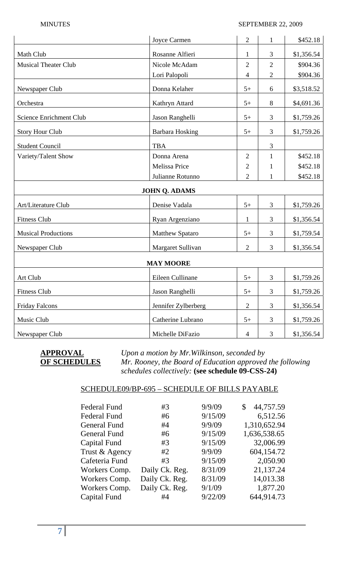|                             | Joyce Carmen           | $\overline{c}$ | 1              | \$452.18   |
|-----------------------------|------------------------|----------------|----------------|------------|
| Math Club                   | Rosanne Alfieri        | $\mathbf{1}$   | 3              | \$1,356.54 |
| <b>Musical Theater Club</b> | Nicole McAdam          | $\overline{2}$ | $\mathfrak{2}$ | \$904.36   |
|                             | Lori Palopoli          | 4              | $\mathfrak{2}$ | \$904.36   |
| Newspaper Club              | Donna Kelaher          | $5+$           | 6              | \$3,518.52 |
| Orchestra                   | Kathryn Attard         | $5+$           | $8\,$          | \$4,691.36 |
| Science Enrichment Club     | Jason Ranghelli        | $5+$           | 3              | \$1,759.26 |
| <b>Story Hour Club</b>      | <b>Barbara Hosking</b> | $5+$           | 3              | \$1,759.26 |
| <b>Student Council</b>      | <b>TBA</b>             |                | 3              |            |
| Variety/Talent Show         | Donna Arena            | $\overline{2}$ | $\mathbf{1}$   | \$452.18   |
|                             | Melissa Price          | 2              | $\mathbf{1}$   | \$452.18   |
|                             | Julianne Rotunno       | $\overline{2}$ | $\mathbf{1}$   | \$452.18   |
|                             | <b>JOHN Q. ADAMS</b>   |                |                |            |
| Art/Literature Club         | Denise Vadala          | $5+$           | 3              | \$1,759.26 |
| <b>Fitness Club</b>         | Ryan Argenziano        | $\mathbf{1}$   | 3              | \$1,356.54 |
| <b>Musical Productions</b>  | <b>Matthew Spataro</b> | $5+$           | 3              | \$1,759.54 |
| Newspaper Club              | Margaret Sullivan      | $\overline{2}$ | 3              | \$1,356.54 |
|                             | <b>MAY MOORE</b>       |                |                |            |
| Art Club                    | Eileen Cullinane       | $5+$           | 3              | \$1,759.26 |
| <b>Fitness Club</b>         | Jason Ranghelli        | $5+$           | 3              | \$1,759.26 |
| <b>Friday Falcons</b>       | Jennifer Zylberberg    | $\overline{2}$ | $\mathfrak{Z}$ | \$1,356.54 |
| Music Club                  | Catherine Lubrano      | $5+$           | 3              | \$1,759.26 |
| Newspaper Club              | Michelle DiFazio       | $\overline{4}$ | $\mathfrak{Z}$ | \$1,356.54 |

# **APPROVAL** *Upon a motion by Mr.Wilkinson, seconded by*  **OF SCHEDULES** *Mr. Rooney, the Board of Education approved the following schedules collectively:* **(see schedule 09-CSS-24)**

# SCHEDULE09/BP-695 – SCHEDULE OF BILLS PAYABLE

| <b>Federal Fund</b> | #3             | 9/9/09  | 44,757.59    |
|---------------------|----------------|---------|--------------|
| <b>Federal Fund</b> | #6             | 9/15/09 | 6,512.56     |
| <b>General Fund</b> | #4             | 9/9/09  | 1,310,652.94 |
| <b>General Fund</b> | #6             | 9/15/09 | 1,636,538.65 |
| Capital Fund        | #3             | 9/15/09 | 32,006.99    |
| Trust & Agency      | #2             | 9/9/09  | 604,154.72   |
| Cafeteria Fund      | #3             | 9/15/09 | 2,050.90     |
| Workers Comp.       | Daily Ck. Reg. | 8/31/09 | 21,137.24    |
| Workers Comp.       | Daily Ck. Reg. | 8/31/09 | 14,013.38    |
| Workers Comp.       | Daily Ck. Reg. | 9/1/09  | 1,877.20     |
| <b>Capital Fund</b> | #4             | 9/22/09 | 644,914.73   |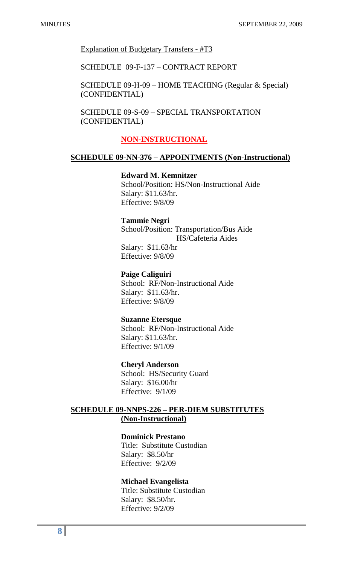Explanation of Budgetary Transfers - #T3

### SCHEDULE 09-F-137 – CONTRACT REPORT

 SCHEDULE 09-H-09 – HOME TEACHING (Regular & Special) (CONFIDENTIAL)

 SCHEDULE 09-S-09 – SPECIAL TRANSPORTATION (CONFIDENTIAL)

### **NON-INSTRUCTIONAL**

### **SCHEDULE 09-NN-376 – APPOINTMENTS (Non-Instructional)**

## **Edward M. Kemnitzer**

 School/Position: HS/Non-Instructional Aide Salary: \$11.63/hr. Effective: 9/8/09

#### **Tammie Negri**

 School/Position: Transportation/Bus Aide HS/Cafeteria Aides Salary: \$11.63/hr

Effective: 9/8/09

## **Paige Caliguiri**

 School: RF/Non-Instructional Aide Salary: \$11.63/hr. Effective: 9/8/09

## **Suzanne Etersque**

 School: RF/Non-Instructional Aide Salary: \$11.63/hr. Effective: 9/1/09

#### **Cheryl Anderson**

 School: HS/Security Guard Salary: \$16.00/hr Effective: 9/1/09

# **SCHEDULE 09-NNPS-226 – PER-DIEM SUBSTITUTES (Non-Instructional)**

## **Dominick Prestano**

 Title: Substitute Custodian Salary: \$8.50/hr Effective: 9/2/09

#### **Michael Evangelista**

 Title: Substitute Custodian Salary: \$8.50/hr. Effective: 9/2/09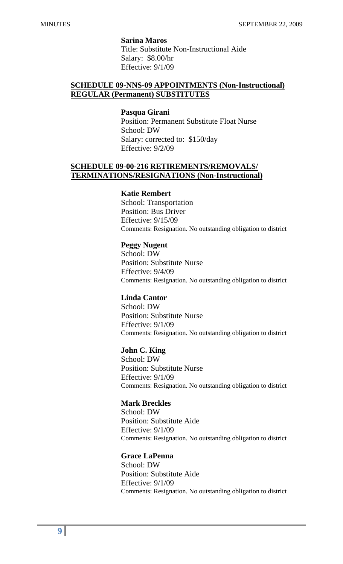**Sarina Maros** 

 Title: Substitute Non-Instructional Aide Salary: \$8.00/hr Effective: 9/1/09

## **SCHEDULE 09-NNS-09 APPOINTMENTS (Non-Instructional) REGULAR (Permanent) SUBSTITUTES**

#### **Pasqua Girani**

 Position: Permanent Substitute Float Nurse School: DW Salary: corrected to: \$150/day Effective: 9/2/09

## **SCHEDULE 09-00-216 RETIREMENTS/REMOVALS/ TERMINATIONS/RESIGNATIONS (Non-Instructional)**

#### **Katie Rembert**

School: Transportation Position: Bus Driver Effective: 9/15/09 Comments: Resignation. No outstanding obligation to district

#### **Peggy Nugent**

School: DW Position: Substitute Nurse Effective: 9/4/09 Comments: Resignation. No outstanding obligation to district

### **Linda Cantor**

School: DW Position: Substitute Nurse Effective: 9/1/09 Comments: Resignation. No outstanding obligation to district

#### **John C. King**

School: DW Position: Substitute Nurse Effective: 9/1/09 Comments: Resignation. No outstanding obligation to district

#### **Mark Breckles**

School: DW Position: Substitute Aide Effective: 9/1/09 Comments: Resignation. No outstanding obligation to district

## **Grace LaPenna**

School: DW Position: Substitute Aide Effective: 9/1/09 Comments: Resignation. No outstanding obligation to district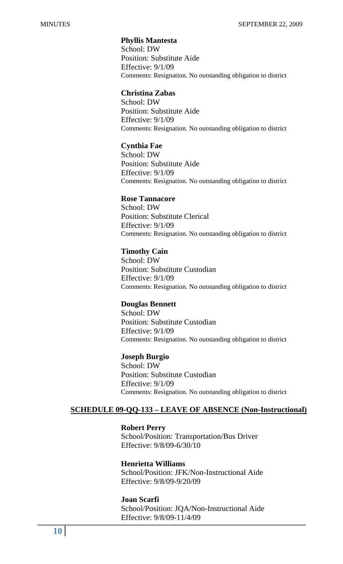## **Phyllis Mantesta**

School: DW Position: Substitute Aide Effective: 9/1/09 Comments: Resignation. No outstanding obligation to district

#### **Christina Zabas**

School: DW Position: Substitute Aide Effective: 9/1/09 Comments: Resignation. No outstanding obligation to district

#### **Cynthia Fae**

School: DW Position: Substitute Aide Effective: 9/1/09 Comments: Resignation. No outstanding obligation to district

### **Rose Tannacore**

School: DW Position: Substitute Clerical Effective: 9/1/09 Comments: Resignation. No outstanding obligation to district

#### **Timothy Cain**

School: DW Position: Substitute Custodian Effective: 9/1/09 Comments: Resignation. No outstanding obligation to district

## **Douglas Bennett**

School: DW Position: Substitute Custodian Effective: 9/1/09 Comments: Resignation. No outstanding obligation to district

#### **Joseph Burgio**

School: DW Position: Substitute Custodian Effective: 9/1/09 Comments: Resignation. No outstanding obligation to district

## **SCHEDULE 09-QQ-133 – LEAVE OF ABSENCE (Non-Instructional)**

#### **Robert Perry**

 School/Position: Transportation/Bus Driver Effective: 9/8/09-6/30/10

### **Henrietta Williams**

 School/Position: JFK/Non-Instructional Aide Effective: 9/8/09-9/20/09

#### **Joan Scarfi**

 School/Position: JQA/Non-Instructional Aide Effective: 9/8/09-11/4/09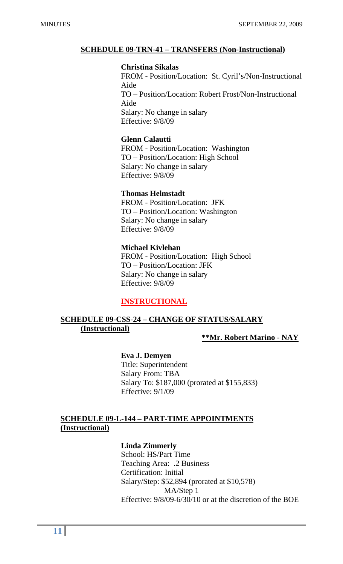## **SCHEDULE 09-TRN-41 – TRANSFERS (Non-Instructional)**

## **Christina Sikalas**

FROM - Position/Location: St. Cyril's/Non-Instructional Aide TO – Position/Location: Robert Frost/Non-Instructional Aide Salary: No change in salary Effective: 9/8/09

## **Glenn Calautti**

FROM - Position/Location: Washington TO – Position/Location: High School Salary: No change in salary Effective: 9/8/09

## **Thomas Helmstadt**

FROM - Position/Location: JFK TO – Position/Location: Washington Salary: No change in salary Effective: 9/8/09

# **Michael Kivlehan**

FROM - Position/Location: High School TO – Position/Location: JFK Salary: No change in salary Effective: 9/8/09

# **INSTRUCTIONAL**

# **SCHEDULE 09-CSS-24 – CHANGE OF STATUS/SALARY (Instructional)**

**\*\*Mr. Robert Marino - NAY**

## **Eva J. Demyen**

Title: Superintendent Salary From: TBA Salary To: \$187,000 (prorated at \$155,833) Effective: 9/1/09

# **SCHEDULE 09-L-144 – PART-TIME APPOINTMENTS (Instructional)**

# **Linda Zimmerly**

School: HS/Part Time Teaching Area: .2 Business Certification: Initial Salary/Step: \$52,894 (prorated at \$10,578) MA/Step 1 Effective: 9/8/09-6/30/10 or at the discretion of the BOE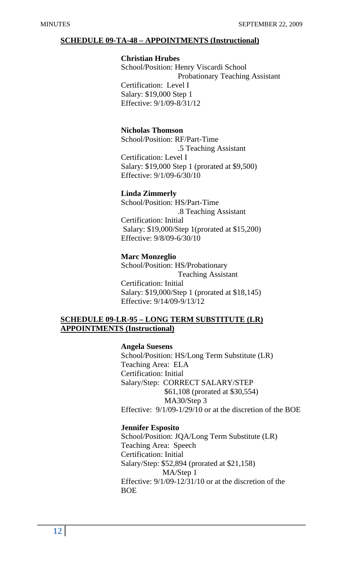## **SCHEDULE 09-TA-48 – APPOINTMENTS (Instructional)**

#### **Christian Hrubes**

School/Position: Henry Viscardi School Probationary Teaching Assistant Certification: Level I Salary: \$19,000 Step 1 Effective: 9/1/09-8/31/12

# **Nicholas Thomson**

School/Position: RF/Part-Time .5 Teaching Assistant Certification: Level I Salary: \$19,000 Step 1 (prorated at \$9,500) Effective: 9/1/09-6/30/10

### **Linda Zimmerly**

School/Position: HS/Part-Time .8 Teaching Assistant Certification: Initial Salary: \$19,000/Step 1(prorated at \$15,200) Effective: 9/8/09-6/30/10

## **Marc Monzeglio**

School/Position: HS/Probationary Teaching Assistant Certification: Initial Salary: \$19,000/Step 1 (prorated at \$18,145) Effective: 9/14/09-9/13/12

## **SCHEDULE 09-LR-95 – LONG TERM SUBSTITUTE (LR) APPOINTMENTS (Instructional)**

## **Angela Suesens**

 School/Position: HS/Long Term Substitute (LR) Teaching Area: ELA Certification: Initial Salary/Step: CORRECT SALARY/STEP \$61,108 (prorated at \$30,554) MA30/Step 3 Effective: 9/1/09-1/29/10 or at the discretion of the BOE

#### **Jennifer Esposito**

 School/Position: JQA/Long Term Substitute (LR) Teaching Area: Speech Certification: Initial Salary/Step: \$52,894 (prorated at \$21,158) MA/Step 1 Effective: 9/1/09-12/31/10 or at the discretion of the BOE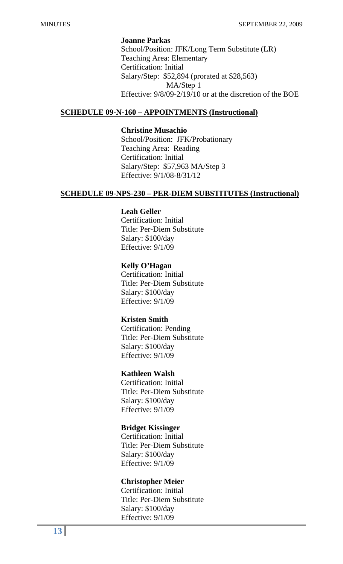### **Joanne Parkas**

 School/Position: JFK/Long Term Substitute (LR) Teaching Area: Elementary Certification: Initial Salary/Step: \$52,894 (prorated at \$28,563) MA/Step 1 Effective: 9/8/09-2/19/10 or at the discretion of the BOE

## **SCHEDULE 09-N-160 – APPOINTMENTS (Instructional)**

## **Christine Musachio**

 School/Position: JFK/Probationary Teaching Area: Reading Certification: Initial Salary/Step: \$57,963 MA/Step 3 Effective: 9/1/08-8/31/12

## **SCHEDULE 09-NPS-230 – PER-DIEM SUBSTITUTES (Instructional)**

### **Leah Geller**

 Certification: Initial Title: Per-Diem Substitute Salary: \$100/day Effective: 9/1/09

### **Kelly O'Hagan**

 Certification: Initial Title: Per-Diem Substitute Salary: \$100/day Effective: 9/1/09

## **Kristen Smith**

 Certification: Pending Title: Per-Diem Substitute Salary: \$100/day Effective: 9/1/09

# **Kathleen Walsh**

 Certification: Initial Title: Per-Diem Substitute Salary: \$100/day Effective: 9/1/09

#### **Bridget Kissinger**

 Certification: Initial Title: Per-Diem Substitute Salary: \$100/day Effective: 9/1/09

## **Christopher Meier**

 Certification: Initial Title: Per-Diem Substitute Salary: \$100/day Effective: 9/1/09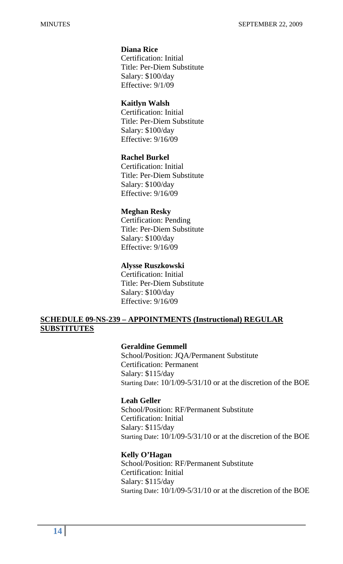# **Diana Rice**

 Certification: Initial Title: Per-Diem Substitute Salary: \$100/day Effective: 9/1/09

## **Kaitlyn Walsh**

 Certification: Initial Title: Per-Diem Substitute Salary: \$100/day Effective: 9/16/09

## **Rachel Burkel**

 Certification: Initial Title: Per-Diem Substitute Salary: \$100/day Effective: 9/16/09

#### **Meghan Resky**

 Certification: Pending Title: Per-Diem Substitute Salary: \$100/day Effective: 9/16/09

### **Alysse Ruszkowski**

 Certification: Initial Title: Per-Diem Substitute Salary: \$100/day Effective: 9/16/09

# **SCHEDULE 09-NS-239 – APPOINTMENTS (Instructional) REGULAR SUBSTITUTES**

## **Geraldine Gemmell**

 School/Position: JQA/Permanent Substitute Certification: Permanent Salary: \$115/day Starting Date: 10/1/09-5/31/10 or at the discretion of the BOE

### **Leah Geller**

 School/Position: RF/Permanent Substitute Certification: Initial Salary: \$115/day Starting Date: 10/1/09-5/31/10 or at the discretion of the BOE

## **Kelly O'Hagan**

 School/Position: RF/Permanent Substitute Certification: Initial Salary: \$115/day Starting Date: 10/1/09-5/31/10 or at the discretion of the BOE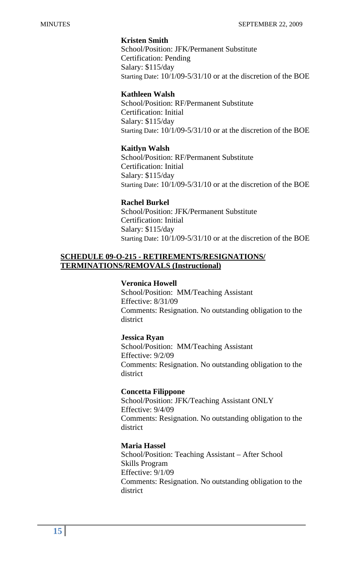## **Kristen Smith**

 School/Position: JFK/Permanent Substitute Certification: Pending Salary: \$115/day Starting Date: 10/1/09-5/31/10 or at the discretion of the BOE

## **Kathleen Walsh**

 School/Position: RF/Permanent Substitute Certification: Initial Salary: \$115/day Starting Date: 10/1/09-5/31/10 or at the discretion of the BOE

## **Kaitlyn Walsh**

 School/Position: RF/Permanent Substitute Certification: Initial Salary: \$115/day Starting Date: 10/1/09-5/31/10 or at the discretion of the BOE

## **Rachel Burkel**

 School/Position: JFK/Permanent Substitute Certification: Initial Salary: \$115/day Starting Date: 10/1/09-5/31/10 or at the discretion of the BOE

# **SCHEDULE 09-O-215 - RETIREMENTS/RESIGNATIONS/ TERMINATIONS/REMOVALS (Instructional)**

### **Veronica Howell**

 School/Position: MM/Teaching Assistant Effective: 8/31/09 Comments: Resignation. No outstanding obligation to the district

#### **Jessica Ryan**

 School/Position: MM/Teaching Assistant Effective: 9/2/09 Comments: Resignation. No outstanding obligation to the district

## **Concetta Filippone**

 School/Position: JFK/Teaching Assistant ONLY Effective: 9/4/09 Comments: Resignation. No outstanding obligation to the district

#### **Maria Hassel**

School/Position: Teaching Assistant – After School Skills Program Effective: 9/1/09 Comments: Resignation. No outstanding obligation to the district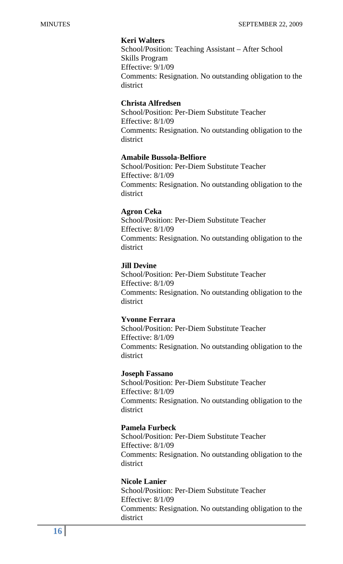# **Keri Walters**

School/Position: Teaching Assistant – After School Skills Program Effective: 9/1/09 Comments: Resignation. No outstanding obligation to the district

## **Christa Alfredsen**

School/Position: Per-Diem Substitute Teacher Effective: 8/1/09 Comments: Resignation. No outstanding obligation to the district

## **Amabile Bussola-Belfiore**

School/Position: Per-Diem Substitute Teacher Effective: 8/1/09 Comments: Resignation. No outstanding obligation to the district

### **Agron Ceka**

School/Position: Per-Diem Substitute Teacher Effective: 8/1/09 Comments: Resignation. No outstanding obligation to the district

### **Jill Devine**

School/Position: Per-Diem Substitute Teacher Effective: 8/1/09 Comments: Resignation. No outstanding obligation to the district

## **Yvonne Ferrara**

School/Position: Per-Diem Substitute Teacher Effective: 8/1/09 Comments: Resignation. No outstanding obligation to the district

#### **Joseph Fassano**

School/Position: Per-Diem Substitute Teacher Effective: 8/1/09 Comments: Resignation. No outstanding obligation to the district

## **Pamela Furbeck**

School/Position: Per-Diem Substitute Teacher Effective: 8/1/09 Comments: Resignation. No outstanding obligation to the district

#### **Nicole Lanier**

School/Position: Per-Diem Substitute Teacher Effective: 8/1/09 Comments: Resignation. No outstanding obligation to the district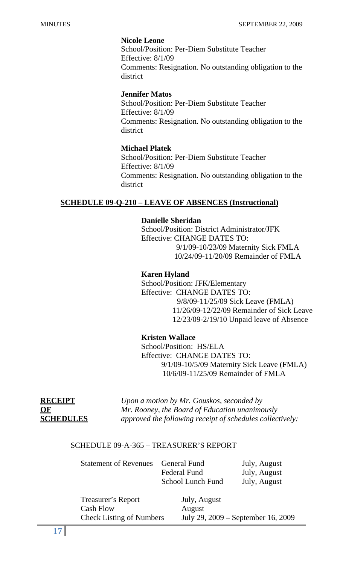## **Nicole Leone**

School/Position: Per-Diem Substitute Teacher Effective: 8/1/09 Comments: Resignation. No outstanding obligation to the district

## **Jennifer Matos**

School/Position: Per-Diem Substitute Teacher Effective: 8/1/09 Comments: Resignation. No outstanding obligation to the district

# **Michael Platek**

School/Position: Per-Diem Substitute Teacher Effective: 8/1/09 Comments: Resignation. No outstanding obligation to the district

# **SCHEDULE 09-Q-210 – LEAVE OF ABSENCES (Instructional)**

# **Danielle Sheridan**

 School/Position: District Administrator/JFK Effective: CHANGE DATES TO: 9/1/09-10/23/09 Maternity Sick FMLA

10/24/09-11/20/09 Remainder of FMLA

# **Karen Hyland**

 School/Position: JFK/Elementary Effective: CHANGE DATES TO: 9/8/09-11/25/09 Sick Leave (FMLA) 11/26/09-12/22/09 Remainder of Sick Leave 12/23/09-2/19/10 Unpaid leave of Absence

# **Kristen Wallace**

 School/Position: HS/ELA Effective: CHANGE DATES TO: 9/1/09-10/5/09 Maternity Sick Leave (FMLA) 10/6/09-11/25/09 Remainder of FMLA

**RECEIPT** *Upon a motion by Mr. Gouskos, seconded by*  **OF** *Mr. Rooney, the Board of Education unanimously*  **SCHEDULES** *approved the following receipt of schedules collectively:* 

# SCHEDULE 09-A-365 – TREASURER'S REPORT

| <b>Statement of Revenues</b>                           | General Fund<br><b>Federal Fund</b><br><b>School Lunch Fund</b> | July, August<br>July, August<br>July, August |
|--------------------------------------------------------|-----------------------------------------------------------------|----------------------------------------------|
| Treasurer's Report<br>$\mathcal{C}_{\alpha\beta}$ Flow | July, August<br>$\Lambda$ u $\alpha$ u ot                       |                                              |

 Cash Flow August Check Listing of Numbers July 29, 2009 – September 16, 2009